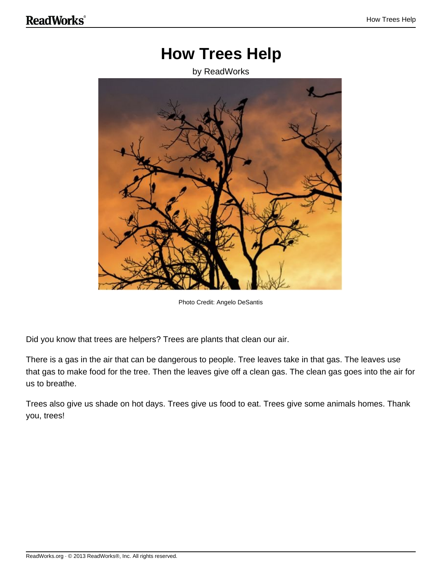#### **How Trees Help**

#### by ReadWorks



Photo Credit: Angelo DeSantis

Did you know that trees are helpers? Trees are plants that clean our air.

There is a gas in the air that can be dangerous to people. Tree leaves take in that gas. The leaves use that gas to make food for the tree. Then the leaves give off a clean gas. The clean gas goes into the air for us to breathe.

Trees also give us shade on hot days. Trees give us food to eat. Trees give some animals homes. Thank you, trees!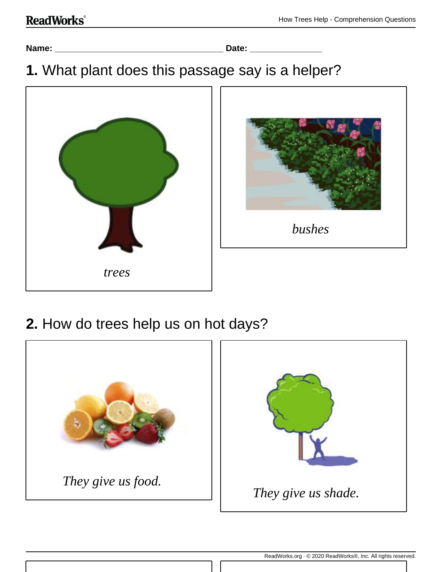**Name: \_\_\_\_\_\_\_\_\_\_\_\_\_\_\_\_\_\_\_\_\_\_\_\_\_\_\_\_\_\_\_\_\_\_\_ Date: \_\_\_\_\_\_\_\_\_\_\_\_\_\_\_**

### **1.** What plant does this passage say is a helper?





### **2.** How do trees help us on hot days?

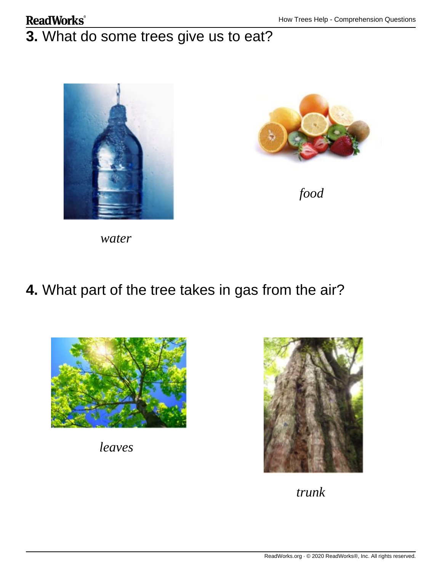#### **ReadWorks**® **3.** What do some trees give us to eat?





*food*

*water*

#### **4.** What part of the tree takes in gas from the air?



*leaves*



*trunk*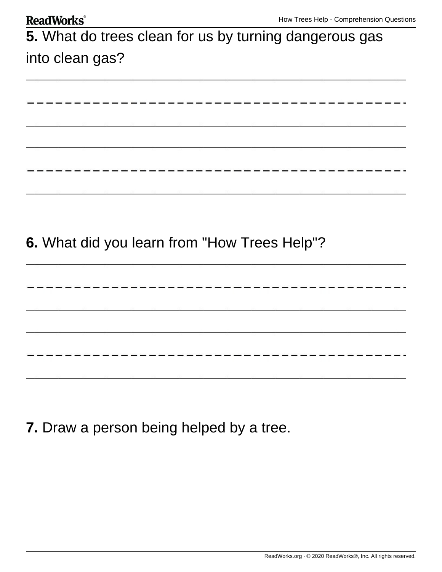| <b>ReadWorks</b> <sup>®</sup>                          | How Trees Help - Comprehension Questions |
|--------------------------------------------------------|------------------------------------------|
| 5. What do trees clean for us by turning dangerous gas |                                          |
| into clean gas?                                        |                                          |
|                                                        |                                          |
|                                                        |                                          |
|                                                        |                                          |
|                                                        |                                          |
|                                                        |                                          |
|                                                        |                                          |
|                                                        |                                          |
|                                                        |                                          |
| 6. What did you learn from "How Trees Help"?           |                                          |
|                                                        |                                          |
|                                                        |                                          |
|                                                        |                                          |
|                                                        |                                          |
|                                                        |                                          |
|                                                        |                                          |
|                                                        |                                          |

**7.** Draw a person being helped by a tree.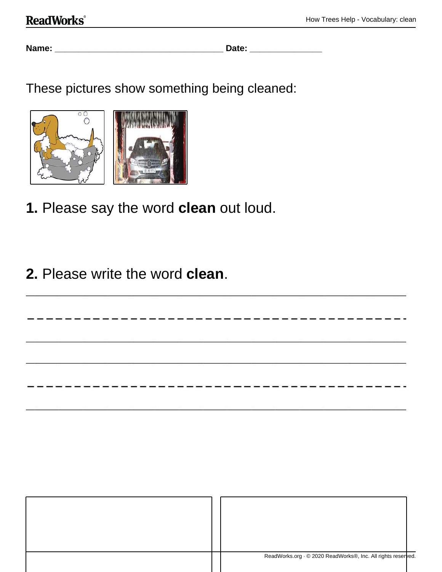**Name: \_\_\_\_\_\_\_\_\_\_\_\_\_\_\_\_\_\_\_\_\_\_\_\_\_\_\_\_\_\_\_\_\_\_\_ Date: \_\_\_\_\_\_\_\_\_\_\_\_\_\_\_**

These pictures show something being cleaned:



- **1.** Please say the word **clean** out loud.
- **2.** Please write the word **clean**.

| ReadWorks.org · © 2020 ReadWorks®, Inc. All rights reserved. |  |
|--------------------------------------------------------------|--|

------------------------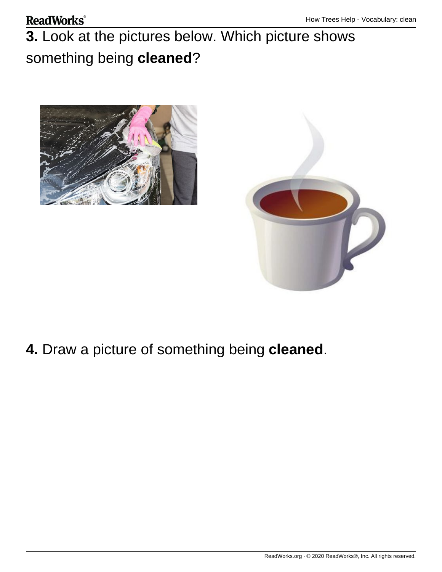#### **ReadWorks**®

# **3.** Look at the pictures below. Which picture shows something being **cleaned**?





## **4.** Draw a picture of something being **cleaned**.